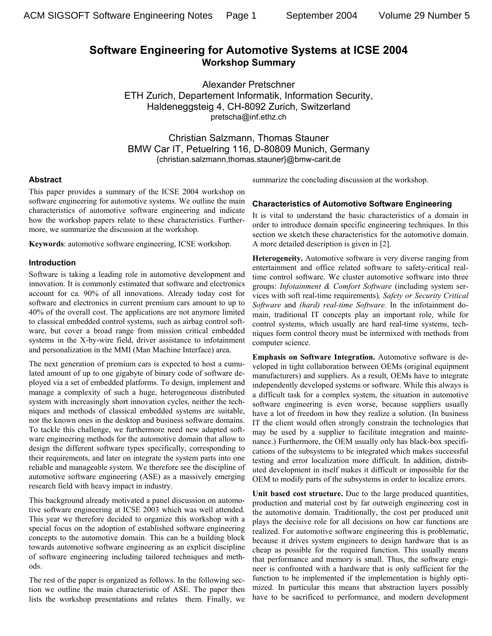# **Software Engineering for Automotive Systems at ICSE 2004 Workshop Summary**

Alexander Pretschner ETH Zurich, Departement Informatik, Information Security, Haldeneggsteig 4, CH-8092 Zurich, Switzerland pretscha@inf.ethz.ch

Christian Salzmann, Thomas Stauner BMW Car IT, Petuelring 116, D-80809 Munich, Germany {christian.salzmann,thomas.stauner}@bmw-carit.de

# **Abstract**

This paper provides a summary of the ICSE 2004 workshop on software engineering for automotive systems. We outline the main characteristics of automotive software engineering and indicate how the workshop papers relate to these characteristics. Furthermore, we summarize the discussion at the workshop.

**Keywords**: automotive software engineering, ICSE workshop.

# **Introduction**

Software is taking a leading role in automotive development and innovation. It is commonly estimated that software and electronics account for ca. 90% of all innovations. Already today cost for software and electronics in current premium cars amount to up to 40% of the overall cost. The applications are not anymore limited to classical embedded control systems, such as airbag control software, but cover a broad range from mission critical embedded systems in the X-by-wire field, driver assistance to infotainment and personalization in the MMI (Man Machine Interface) area.

The next generation of premium cars is expected to host a cumulated amount of up to one gigabyte of binary code of software deployed via a set of embedded platforms. To design, implement and manage a complexity of such a huge, heterogeneous distributed system with increasingly short innovation cycles, neither the techniques and methods of classical embedded systems are suitable, nor the known ones in the desktop and business software domains. To tackle this challenge, we furthermore need new adapted software engineering methods for the automotive domain that allow to design the different software types specifically, corresponding to their requirements, and later on integrate the system parts into one reliable and manageable system. We therefore see the discipline of automotive software engineering (ASE) as a massively emerging research field with heavy impact in industry.

This background already motivated a panel discussion on automotive software engineering at ICSE 2003 which was well attended. This year we therefore decided to organize this workshop with a special focus on the adoption of established software engineering concepts to the automotive domain. This can be a building block towards automotive software engineering as an explicit discipline of software engineering including tailored techniques and methods.

The rest of the paper is organized as follows. In the following section we outline the main characteristic of ASE. The paper then lists the workshop presentations and relates them. Finally, we

summarize the concluding discussion at the workshop.

# **Characteristics of Automotive Software Engineering**

It is vital to understand the basic characteristics of a domain in order to introduce domain specific engineering techniques. In this section we sketch these characteristics for the automotive domain. A more detailed description is given in [2].

**Heterogeneity.** Automotive software is very diverse ranging from entertainment and office related software to safety-critical realtime control software. We cluster automotive software into three groups: *Infotainment & Comfort Software* (including system services with soft real-time requirements)*, Safety or Security Critical Software* and *(hard) real-time Software.* In the infotainment domain, traditional IT concepts play an important role, while for control systems, which usually are hard real-time systems, techniques form control theory must be intermixed with methods from computer science.

**Emphasis on Software Integration.** Automotive software is developed in tight collaboration between OEMs (original equipment manufacturers) and suppliers. As a result, OEMs have to integrate independently developed systems or software. While this always is a difficult task for a complex system, the situation in automotive software engineering is even worse, because suppliers usually have a lot of freedom in how they realize a solution. (In business IT the client would often strongly constrain the technologies that may be used by a supplier to facilitate integration and maintenance.) Furthermore, the OEM usually only has black-box specifications of the subsystems to be integrated which makes successful testing and error localization more difficult. In addition, distributed development in itself makes it difficult or impossible for the OEM to modify parts of the subsystems in order to localize errors.

**Unit based cost structure.** Due to the large produced quantities, production and material cost by far outweigh engineering cost in the automotive domain. Traditionally, the cost per produced unit plays the decisive role for all decisions on how car functions are realized. For automotive software engineering this is problematic, because it drives system engineers to design hardware that is as cheap as possible for the required function. This usually means that performance and memory is small. Thus, the software engineer is confronted with a hardware that is only sufficient for the function to be implemented if the implementation is highly optimized. In particular this means that abstraction layers possibly have to be sacrificed to performance, and modern development